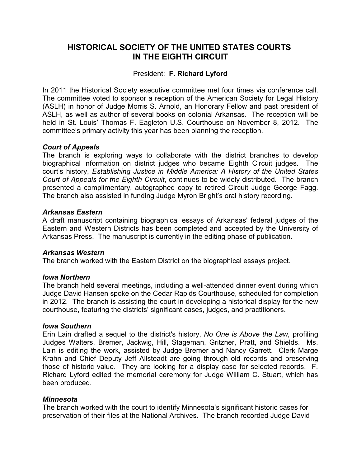# **HISTORICAL SOCIETY OF THE UNITED STATES COURTS IN THE EIGHTH CIRCUIT**

# President: **F. Richard Lyford**

In 2011 the Historical Society executive committee met four times via conference call. The committee voted to sponsor a reception of the American Society for Legal History (ASLH) in honor of Judge Morris S. Arnold, an Honorary Fellow and past president of ASLH, as well as author of several books on colonial Arkansas. The reception will be held in St. Louis' Thomas F. Eagleton U.S. Courthouse on November 8, 2012. The committee's primary activity this year has been planning the reception.

# *Court of Appeals*

The branch is exploring ways to collaborate with the district branches to develop biographical information on district judges who became Eighth Circuit judges. The court's history, *Establishing Justice in Middle America: A History of the United States Court of Appeals for the Eighth Circuit*, continues to be widely distributed. The branch presented a complimentary, autographed copy to retired Circuit Judge George Fagg. The branch also assisted in funding Judge Myron Bright's oral history recording.

# *Arkansas Eastern*

A draft manuscript containing biographical essays of Arkansas' federal judges of the Eastern and Western Districts has been completed and accepted by the University of Arkansas Press. The manuscript is currently in the editing phase of publication.

# *Arkansas Western*

The branch worked with the Eastern District on the biographical essays project.

# *Iowa Northern*

The branch held several meetings, including a well-attended dinner event during which Judge David Hansen spoke on the Cedar Rapids Courthouse, scheduled for completion in 2012. The branch is assisting the court in developing a historical display for the new courthouse, featuring the districts' significant cases, judges, and practitioners.

### *Iowa Southern*

Erin Lain drafted a sequel to the district's history, *No One is Above the Law,* profiling Judges Walters, Bremer, Jackwig, Hill, Stageman, Gritzner, Pratt, and Shields. Ms. Lain is editing the work, assisted by Judge Bremer and Nancy Garrett. Clerk Marge Krahn and Chief Deputy Jeff Allsteadt are going through old records and preserving those of historic value. They are looking for a display case for selected records. F. Richard Lyford edited the memorial ceremony for Judge William C. Stuart, which has been produced.

### *Minnesota*

The branch worked with the court to identify Minnesota's significant historic cases for preservation of their files at the National Archives. The branch recorded Judge David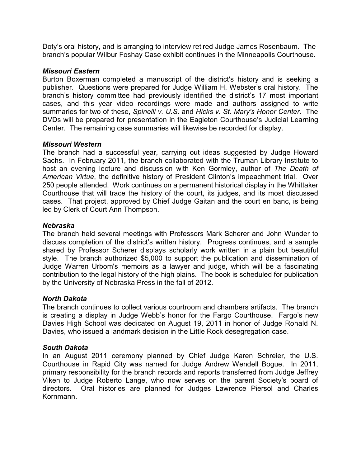Doty's oral history, and is arranging to interview retired Judge James Rosenbaum. The branch's popular Wilbur Foshay Case exhibit continues in the Minneapolis Courthouse.

# *Missouri Eastern*

Burton Boxerman completed a manuscript of the district's history and is seeking a publisher. Questions were prepared for Judge William H. Webster's oral history. The branch's history committee had previously identified the district's 17 most important cases, and this year video recordings were made and authors assigned to write summaries for two of these, *Spinelli v. U.S.* and *Hicks v. St. Mary's Honor Center*. The DVDs will be prepared for presentation in the Eagleton Courthouse's Judicial Learning Center. The remaining case summaries will likewise be recorded for display.

# *Missouri Western*

The branch had a successful year, carrying out ideas suggested by Judge Howard Sachs. In February 2011, the branch collaborated with the Truman Library Institute to host an evening lecture and discussion with Ken Gormley, author of *The Death of American Virtue*, the definitive history of President Clinton's impeachment trial. Over 250 people attended. Work continues on a permanent historical display in the Whittaker Courthouse that will trace the history of the court, its judges, and its most discussed cases. That project, approved by Chief Judge Gaitan and the court en banc, is being led by Clerk of Court Ann Thompson.

# *Nebraska*

The branch held several meetings with Professors Mark Scherer and John Wunder to discuss completion of the district's written history. Progress continues, and a sample shared by Professor Scherer displays scholarly work written in a plain but beautiful style. The branch authorized \$5,000 to support the publication and dissemination of Judge Warren Urbom's memoirs as a lawyer and judge, which will be a fascinating contribution to the legal history of the high plains. The book is scheduled for publication by the University of Nebraska Press in the fall of 2012.

# *North Dakota*

The branch continues to collect various courtroom and chambers artifacts. The branch is creating a display in Judge Webb's honor for the Fargo Courthouse. Fargo's new Davies High School was dedicated on August 19, 2011 in honor of Judge Ronald N. Davies, who issued a landmark decision in the Little Rock desegregation case.

# *South Dakota*

In an August 2011 ceremony planned by Chief Judge Karen Schreier, the U.S. Courthouse in Rapid City was named for Judge Andrew Wendell Bogue. In 2011, primary responsibility for the branch records and reports transferred from Judge Jeffrey Viken to Judge Roberto Lange, who now serves on the parent Society's board of directors. Oral histories are planned for Judges Lawrence Piersol and Charles Kornmann.